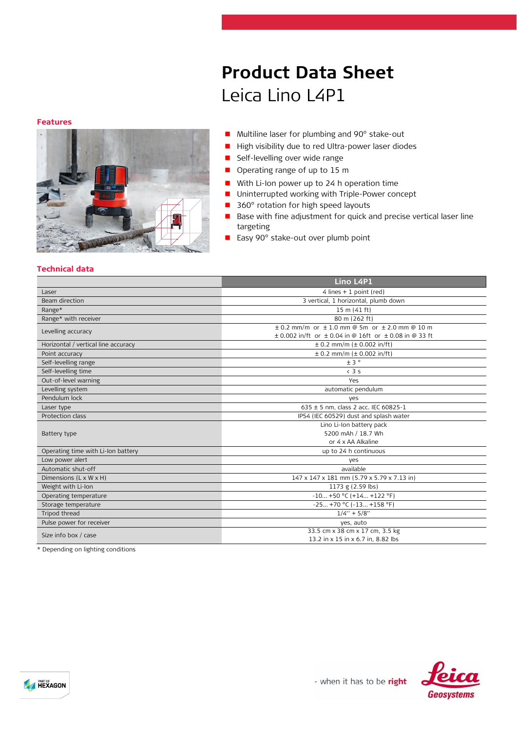#### **Features**



# ■ Multiline laser for plumbing and 90° stake-out

**Product Data Sheet**

- High visibility due to red Ultra-power laser diodes
- **Self-levelling over wide range**

Leica Lino L4P1

- Operating range of up to 15 m
- **With Li-Ion power up to 24 h operation time**
- **Uninterrupted working with Triple-Power concept**
- 360° rotation for high speed layouts
- Base with fine adjustment for quick and precise vertical laser line targeting
- Easy 90° stake-out over plumb point

## **Technical data**

| 4 lines + 1 point (red)<br>Laser<br>3 vertical, 1 horizontal, plumb down<br>Beam direction<br>$15 \text{ m} (41 \text{ ft})$<br>Range*<br>Range* with receiver<br>80 m (262 ft)<br>$\pm$ 0.2 mm/m or $\pm$ 1.0 mm @ 5m or $\pm$ 2.0 mm @ 10 m<br>Levelling accuracy<br>$\pm$ 0.002 in/ft or $\pm$ 0.04 in @ 16ft or $\pm$ 0.08 in @ 33 ft<br>$\pm$ 0.2 mm/m ( $\pm$ 0.002 in/ft)<br>Horizontal / vertical line accuracy<br>$\pm$ 0.2 mm/m ( $\pm$ 0.002 in/ft)<br>Point accuracy<br>±3°<br>Self-levelling range<br>Self-levelling time<br>$<$ 3 s<br>Out-of-level warning<br>Yes<br>Levelling system<br>automatic pendulum<br>Pendulum lock<br>ves<br>635 ± 5 nm, class 2 acc. IEC 60825-1<br>Laser type<br>Protection class<br>IP54 (IEC 60529) dust and splash water<br>Lino Li-Ion battery pack<br>5200 mAh / 18.7 Wh<br>Battery type<br>or 4 x AA Alkaline<br>Operating time with Li-Ion battery<br>up to 24 h continuous<br>Low power alert<br>yes<br>available<br>Automatic shut-off<br>Dimensions (L x W x H)<br>147 x 147 x 181 mm (5.79 x 5.79 x 7.13 in)<br>Weight with Li-Ion<br>1173 g (2.59 lbs)<br>$-10+50$ °C (+14 +122 °F)<br>Operating temperature<br>$-25 +70$ °C ( $-13 +158$ °F)<br>Storage temperature<br>Tripod thread<br>$1/4" + 5/8"$<br>Pulse power for receiver<br>ves, auto<br>33.5 cm x 38 cm x 17 cm, 3.5 kg<br>Size info box / case<br>13.2 in x 15 in x 6.7 in, 8.82 lbs<br>$\cdots$<br><b>Contract Contract Contract</b><br>the contract of the contract of |  | Lino L4P1 |  |
|---------------------------------------------------------------------------------------------------------------------------------------------------------------------------------------------------------------------------------------------------------------------------------------------------------------------------------------------------------------------------------------------------------------------------------------------------------------------------------------------------------------------------------------------------------------------------------------------------------------------------------------------------------------------------------------------------------------------------------------------------------------------------------------------------------------------------------------------------------------------------------------------------------------------------------------------------------------------------------------------------------------------------------------------------------------------------------------------------------------------------------------------------------------------------------------------------------------------------------------------------------------------------------------------------------------------------------------------------------------------------------------------------------------------------------------------------------------------------------------------|--|-----------|--|
|                                                                                                                                                                                                                                                                                                                                                                                                                                                                                                                                                                                                                                                                                                                                                                                                                                                                                                                                                                                                                                                                                                                                                                                                                                                                                                                                                                                                                                                                                             |  |           |  |
|                                                                                                                                                                                                                                                                                                                                                                                                                                                                                                                                                                                                                                                                                                                                                                                                                                                                                                                                                                                                                                                                                                                                                                                                                                                                                                                                                                                                                                                                                             |  |           |  |
|                                                                                                                                                                                                                                                                                                                                                                                                                                                                                                                                                                                                                                                                                                                                                                                                                                                                                                                                                                                                                                                                                                                                                                                                                                                                                                                                                                                                                                                                                             |  |           |  |
|                                                                                                                                                                                                                                                                                                                                                                                                                                                                                                                                                                                                                                                                                                                                                                                                                                                                                                                                                                                                                                                                                                                                                                                                                                                                                                                                                                                                                                                                                             |  |           |  |
|                                                                                                                                                                                                                                                                                                                                                                                                                                                                                                                                                                                                                                                                                                                                                                                                                                                                                                                                                                                                                                                                                                                                                                                                                                                                                                                                                                                                                                                                                             |  |           |  |
|                                                                                                                                                                                                                                                                                                                                                                                                                                                                                                                                                                                                                                                                                                                                                                                                                                                                                                                                                                                                                                                                                                                                                                                                                                                                                                                                                                                                                                                                                             |  |           |  |
|                                                                                                                                                                                                                                                                                                                                                                                                                                                                                                                                                                                                                                                                                                                                                                                                                                                                                                                                                                                                                                                                                                                                                                                                                                                                                                                                                                                                                                                                                             |  |           |  |
|                                                                                                                                                                                                                                                                                                                                                                                                                                                                                                                                                                                                                                                                                                                                                                                                                                                                                                                                                                                                                                                                                                                                                                                                                                                                                                                                                                                                                                                                                             |  |           |  |
|                                                                                                                                                                                                                                                                                                                                                                                                                                                                                                                                                                                                                                                                                                                                                                                                                                                                                                                                                                                                                                                                                                                                                                                                                                                                                                                                                                                                                                                                                             |  |           |  |
|                                                                                                                                                                                                                                                                                                                                                                                                                                                                                                                                                                                                                                                                                                                                                                                                                                                                                                                                                                                                                                                                                                                                                                                                                                                                                                                                                                                                                                                                                             |  |           |  |
|                                                                                                                                                                                                                                                                                                                                                                                                                                                                                                                                                                                                                                                                                                                                                                                                                                                                                                                                                                                                                                                                                                                                                                                                                                                                                                                                                                                                                                                                                             |  |           |  |
|                                                                                                                                                                                                                                                                                                                                                                                                                                                                                                                                                                                                                                                                                                                                                                                                                                                                                                                                                                                                                                                                                                                                                                                                                                                                                                                                                                                                                                                                                             |  |           |  |
|                                                                                                                                                                                                                                                                                                                                                                                                                                                                                                                                                                                                                                                                                                                                                                                                                                                                                                                                                                                                                                                                                                                                                                                                                                                                                                                                                                                                                                                                                             |  |           |  |
|                                                                                                                                                                                                                                                                                                                                                                                                                                                                                                                                                                                                                                                                                                                                                                                                                                                                                                                                                                                                                                                                                                                                                                                                                                                                                                                                                                                                                                                                                             |  |           |  |
|                                                                                                                                                                                                                                                                                                                                                                                                                                                                                                                                                                                                                                                                                                                                                                                                                                                                                                                                                                                                                                                                                                                                                                                                                                                                                                                                                                                                                                                                                             |  |           |  |
|                                                                                                                                                                                                                                                                                                                                                                                                                                                                                                                                                                                                                                                                                                                                                                                                                                                                                                                                                                                                                                                                                                                                                                                                                                                                                                                                                                                                                                                                                             |  |           |  |
|                                                                                                                                                                                                                                                                                                                                                                                                                                                                                                                                                                                                                                                                                                                                                                                                                                                                                                                                                                                                                                                                                                                                                                                                                                                                                                                                                                                                                                                                                             |  |           |  |
|                                                                                                                                                                                                                                                                                                                                                                                                                                                                                                                                                                                                                                                                                                                                                                                                                                                                                                                                                                                                                                                                                                                                                                                                                                                                                                                                                                                                                                                                                             |  |           |  |
|                                                                                                                                                                                                                                                                                                                                                                                                                                                                                                                                                                                                                                                                                                                                                                                                                                                                                                                                                                                                                                                                                                                                                                                                                                                                                                                                                                                                                                                                                             |  |           |  |
|                                                                                                                                                                                                                                                                                                                                                                                                                                                                                                                                                                                                                                                                                                                                                                                                                                                                                                                                                                                                                                                                                                                                                                                                                                                                                                                                                                                                                                                                                             |  |           |  |
|                                                                                                                                                                                                                                                                                                                                                                                                                                                                                                                                                                                                                                                                                                                                                                                                                                                                                                                                                                                                                                                                                                                                                                                                                                                                                                                                                                                                                                                                                             |  |           |  |
|                                                                                                                                                                                                                                                                                                                                                                                                                                                                                                                                                                                                                                                                                                                                                                                                                                                                                                                                                                                                                                                                                                                                                                                                                                                                                                                                                                                                                                                                                             |  |           |  |
|                                                                                                                                                                                                                                                                                                                                                                                                                                                                                                                                                                                                                                                                                                                                                                                                                                                                                                                                                                                                                                                                                                                                                                                                                                                                                                                                                                                                                                                                                             |  |           |  |
|                                                                                                                                                                                                                                                                                                                                                                                                                                                                                                                                                                                                                                                                                                                                                                                                                                                                                                                                                                                                                                                                                                                                                                                                                                                                                                                                                                                                                                                                                             |  |           |  |
|                                                                                                                                                                                                                                                                                                                                                                                                                                                                                                                                                                                                                                                                                                                                                                                                                                                                                                                                                                                                                                                                                                                                                                                                                                                                                                                                                                                                                                                                                             |  |           |  |
|                                                                                                                                                                                                                                                                                                                                                                                                                                                                                                                                                                                                                                                                                                                                                                                                                                                                                                                                                                                                                                                                                                                                                                                                                                                                                                                                                                                                                                                                                             |  |           |  |
|                                                                                                                                                                                                                                                                                                                                                                                                                                                                                                                                                                                                                                                                                                                                                                                                                                                                                                                                                                                                                                                                                                                                                                                                                                                                                                                                                                                                                                                                                             |  |           |  |
|                                                                                                                                                                                                                                                                                                                                                                                                                                                                                                                                                                                                                                                                                                                                                                                                                                                                                                                                                                                                                                                                                                                                                                                                                                                                                                                                                                                                                                                                                             |  |           |  |
|                                                                                                                                                                                                                                                                                                                                                                                                                                                                                                                                                                                                                                                                                                                                                                                                                                                                                                                                                                                                                                                                                                                                                                                                                                                                                                                                                                                                                                                                                             |  |           |  |

\* Depending on lighting conditions